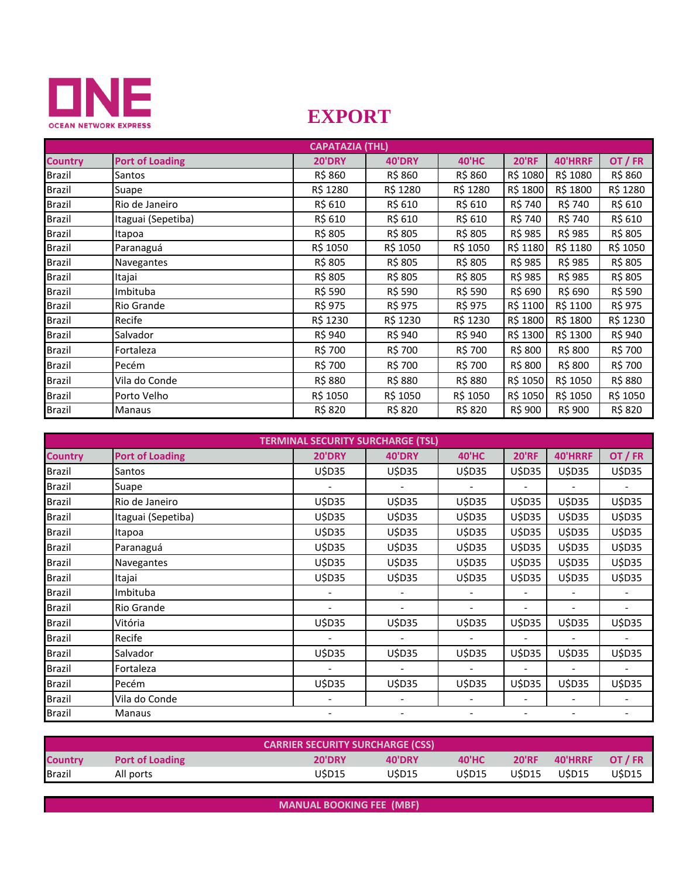

## **EXPORT**

|                | <b>CAPATAZIA (THL)</b> |               |               |              |              |          |          |
|----------------|------------------------|---------------|---------------|--------------|--------------|----------|----------|
| <b>Country</b> | <b>Port of Loading</b> | <b>20'DRY</b> | <b>40'DRY</b> | <b>40'HC</b> | <b>20'RF</b> | 40'HRRF  | OT / FR  |
| <b>Brazil</b>  | Santos                 | R\$ 860       | R\$ 860       | R\$ 860      | R\$ 1080     | R\$ 1080 | R\$ 860  |
| <b>Brazil</b>  | Suape                  | R\$ 1280      | R\$ 1280      | R\$ 1280     | R\$ 1800     | R\$ 1800 | R\$ 1280 |
| <b>Brazil</b>  | Rio de Janeiro         | R\$ 610       | R\$ 610       | R\$ 610      | R\$ 740      | R\$ 740  | R\$ 610  |
| <b>Brazil</b>  | Itaguai (Sepetiba)     | R\$ 610       | R\$ 610       | R\$ 610      | R\$ 740      | R\$ 740  | R\$ 610  |
| <b>Brazil</b>  | Itapoa                 | R\$ 805       | R\$ 805       | R\$ 805      | R\$ 985      | R\$ 985  | R\$ 805  |
| <b>Brazil</b>  | Paranaguá              | R\$ 1050      | R\$ 1050      | R\$ 1050     | R\$ 1180     | R\$ 1180 | R\$ 1050 |
| <b>Brazil</b>  | Navegantes             | R\$ 805       | R\$ 805       | R\$ 805      | R\$ 985      | R\$ 985  | R\$ 805  |
| <b>Brazil</b>  | Itajai                 | R\$ 805       | R\$ 805       | R\$ 805      | R\$ 985      | R\$ 985  | R\$ 805  |
| <b>Brazil</b>  | Imbituba               | R\$ 590       | R\$ 590       | R\$ 590      | R\$ 690      | R\$ 690  | R\$ 590  |
| <b>Brazil</b>  | Rio Grande             | R\$ 975       | R\$ 975       | R\$ 975      | R\$ 1100     | R\$ 1100 | R\$ 975  |
| <b>Brazil</b>  | Recife                 | R\$ 1230      | R\$ 1230      | R\$ 1230     | R\$ 1800     | R\$ 1800 | R\$ 1230 |
| <b>Brazil</b>  | Salvador               | R\$ 940       | R\$ 940       | R\$ 940      | R\$ 1300     | R\$ 1300 | R\$ 940  |
| <b>Brazil</b>  | Fortaleza              | R\$ 700       | R\$ 700       | R\$ 700      | R\$ 800      | R\$ 800  | R\$ 700  |
| <b>Brazil</b>  | Pecém                  | R\$ 700       | R\$ 700       | R\$ 700      | R\$ 800      | R\$ 800  | R\$ 700  |
| <b>Brazil</b>  | Vila do Conde          | R\$ 880       | R\$ 880       | R\$ 880      | R\$ 1050     | R\$ 1050 | R\$ 880  |
| <b>Brazil</b>  | Porto Velho            | R\$ 1050      | R\$ 1050      | R\$ 1050     | R\$ 1050     | R\$ 1050 | R\$ 1050 |
| <b>Brazil</b>  | Manaus                 | R\$ 820       | R\$ 820       | R\$ 820      | R\$ 900      | R\$ 900  | R\$ 820  |

|                |                        |               | <b>TERMINAL SECURITY SURCHARGE (TSL)</b> |                          |              |         |         |
|----------------|------------------------|---------------|------------------------------------------|--------------------------|--------------|---------|---------|
| <b>Country</b> | <b>Port of Loading</b> | <b>20'DRY</b> | <b>40'DRY</b>                            | <b>40'HC</b>             | <b>20'RF</b> | 40'HRRF | OT / FR |
| <b>Brazil</b>  | Santos                 | U\$D35        | U\$D35                                   | U\$D35                   | U\$D35       | U\$D35  | U\$D35  |
| <b>Brazil</b>  | Suape                  |               |                                          |                          |              |         |         |
| <b>Brazil</b>  | Rio de Janeiro         | U\$D35        | U\$D35                                   | U\$D35                   | U\$D35       | U\$D35  | U\$D35  |
| <b>Brazil</b>  | Itaguai (Sepetiba)     | U\$D35        | U\$D35                                   | U\$D35                   | U\$D35       | U\$D35  | U\$D35  |
| <b>Brazil</b>  | Itapoa                 | U\$D35        | U\$D35                                   | U\$D35                   | U\$D35       | U\$D35  | U\$D35  |
| <b>Brazil</b>  | Paranaguá              | U\$D35        | U\$D35                                   | U\$D35                   | U\$D35       | U\$D35  | U\$D35  |
| <b>Brazil</b>  | Navegantes             | U\$D35        | U\$D35                                   | U\$D35                   | U\$D35       | U\$D35  | U\$D35  |
| <b>Brazil</b>  | Itajai                 | U\$D35        | <b>USD35</b>                             | <b>USD35</b>             | U\$D35       | U\$D35  | U\$D35  |
| <b>Brazil</b>  | Imbituba               |               |                                          |                          |              |         |         |
| <b>Brazil</b>  | Rio Grande             |               |                                          | $\overline{\phantom{a}}$ |              |         |         |
| <b>Brazil</b>  | Vitória                | U\$D35        | U\$D35                                   | U\$D35                   | U\$D35       | U\$D35  | U\$D35  |
| Brazil         | Recife                 |               |                                          |                          |              |         |         |
| <b>Brazil</b>  | Salvador               | U\$D35        | U\$D35                                   | U\$D35                   | U\$D35       | U\$D35  | U\$D35  |
| <b>Brazil</b>  | Fortaleza              |               |                                          |                          |              |         |         |
| Brazil         | Pecém                  | U\$D35        | U\$D35                                   | U\$D35                   | U\$D35       | U\$D35  | U\$D35  |
| Brazil         | Vila do Conde          |               |                                          |                          |              |         |         |
| <b>Brazil</b>  | <b>Manaus</b>          |               |                                          |                          |              |         |         |

| <b>CARRIER SECURITY SURCHARGE (CSS)</b> |                        |               |               |              |              |                   |                   |
|-----------------------------------------|------------------------|---------------|---------------|--------------|--------------|-------------------|-------------------|
| <b>Country</b>                          | <b>Port of Loading</b> | <b>20'DRY</b> | <b>40'DRY</b> | <b>40'HC</b> | <b>20'RF</b> | 40'HRRF           | OT / FR           |
| <b>Brazil</b>                           | All ports              | USD15         | USD15         | USD15        | USD15        | USD <sub>15</sub> | USD <sub>15</sub> |

**MANUAL BOOKING FEE (MBF)**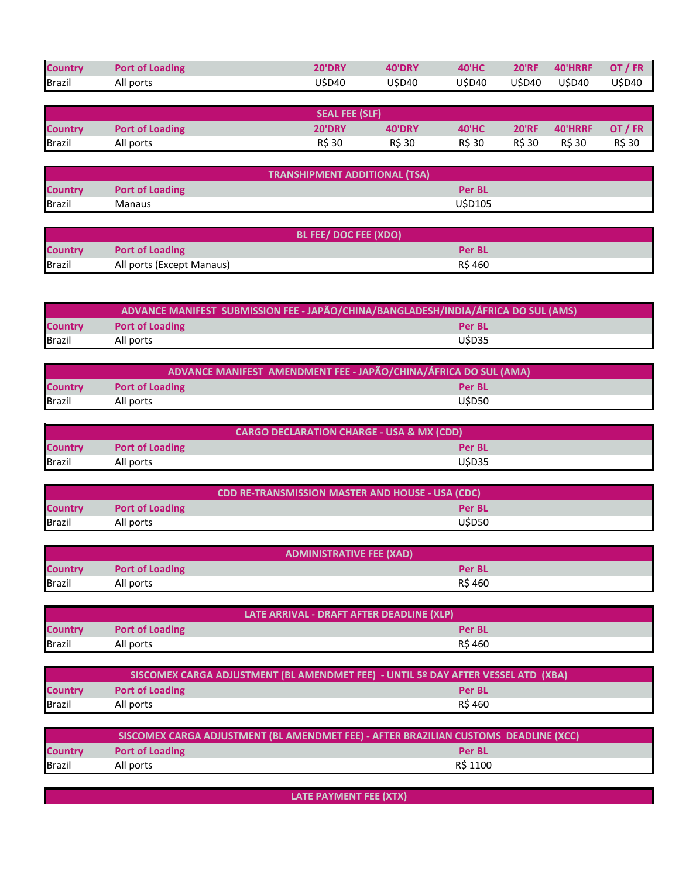| <b>Country</b> | <b>Port of Loading</b> | <b>20'DRY</b> | <b>40'DRY</b> | <b>40'HC</b> | <b>20'RF</b> | 40'HRRF | OT / FR |
|----------------|------------------------|---------------|---------------|--------------|--------------|---------|---------|
| <b>Brazil</b>  | All ports              | USD40         | USD40         | UŚD40        | USD40        | UŚD40   | U\$D40  |

|                |                        | <b>SEAL FEE (SLF)</b> |               |              |               |              |         |
|----------------|------------------------|-----------------------|---------------|--------------|---------------|--------------|---------|
| <b>Country</b> | <b>Port of Loading</b> | <b>20'DRY</b>         | <b>40'DRY</b> | <b>40'HC</b> | <b>20'RF</b>  | 40'HRRF      | OT / FR |
| <b>Brazil</b>  | All ports              | <b>R\$30</b>          | R\$ 30        | R\$ 30       | <b>R\$ 30</b> | <b>R\$30</b> | R\$ 30  |

| <b>TRANSHIPMENT ADDITIONAL (TSA)</b> |                        |               |  |  |
|--------------------------------------|------------------------|---------------|--|--|
| <b>Country</b>                       | <b>Port of Loading</b> | <b>Per BL</b> |  |  |
| <b>Brazil</b>                        | Manaus                 | U\$D105       |  |  |

|                | <b>BL FEE/ DOC FEE (XDO)</b> |         |
|----------------|------------------------------|---------|
| <b>Country</b> | <b>Port of Loading</b>       | Per BL  |
| <b>Brazil</b>  | All ports (Except Manaus)    | R\$ 460 |

|                | ADVANCE MANIFEST SUBMISSION FEE - JAPÃO/CHINA/BANGLADESH/INDIA/ÁFRICA DO SUL (AMS) |               |  |
|----------------|------------------------------------------------------------------------------------|---------------|--|
| <b>Country</b> | <b>Port of Loading</b>                                                             | <b>Per BL</b> |  |
| <b>Brazil</b>  | All ports                                                                          | UŚD35         |  |

|                | ADVANCE MANIFEST AMENDMENT FEE - JAPÃO/CHINA/ÁFRICA DO SUL (AMA) |               |  |  |
|----------------|------------------------------------------------------------------|---------------|--|--|
| <b>Country</b> | <b>Port of Loading</b>                                           | <b>Per BL</b> |  |  |
| <b>Brazil</b>  | All ports                                                        | <b>USD50</b>  |  |  |

| <b>CARGO DECLARATION CHARGE - USA &amp; MX (CDD)</b> |                        |               |  |  |
|------------------------------------------------------|------------------------|---------------|--|--|
| <b>Country</b>                                       | <b>Port of Loading</b> | <b>Per BL</b> |  |  |
| <b>Brazil</b>                                        | All ports              | <b>USD35</b>  |  |  |

|                | <b>CDD RE-TRANSMISSION MASTER AND HOUSE - USA (CDC)</b> |               |  |  |
|----------------|---------------------------------------------------------|---------------|--|--|
| <b>Country</b> | <b>Port of Loading</b>                                  | <b>Per BL</b> |  |  |
| <b>Brazil</b>  | All ports                                               | <b>USD50</b>  |  |  |

|                | <b>ADMINISTRATIVE FEE (XAD)</b> |               |
|----------------|---------------------------------|---------------|
| <b>Country</b> | <b>Port of Loading</b>          | <b>Per BL</b> |
| <b>Brazil</b>  | All ports                       | <b>R\$460</b> |

| LATE ARRIVAL - DRAFT AFTER DEADLINE (XLP) |                        |               |  |  |  |
|-------------------------------------------|------------------------|---------------|--|--|--|
| <b>Country</b>                            | <b>Port of Loading</b> | <b>Per BL</b> |  |  |  |
| <b>Brazil</b>                             | All ports              | <b>R\$460</b> |  |  |  |

|                | ًا SISCOMEX CARGA ADJUSTMENT (BL AMENDMET FEE) - UNTIL 5º DAY AFTER VESSEL ATD (XBA) |               |  |  |  |
|----------------|--------------------------------------------------------------------------------------|---------------|--|--|--|
| <b>Country</b> | <b>Port of Loading</b>                                                               | <b>Per BL</b> |  |  |  |
| Brazil         | All ports                                                                            | <b>RS 460</b> |  |  |  |

|                | SISCOMEX CARGA ADJUSTMENT (BL AMENDMET FEE) - AFTER BRAZILIAN CUSTOMS DEADLINE (XCC) |          |  |  |  |
|----------------|--------------------------------------------------------------------------------------|----------|--|--|--|
| <b>Country</b> | <b>Port of Loading</b>                                                               | Per BL   |  |  |  |
| <b>Brazil</b>  | All ports                                                                            | R\$ 1100 |  |  |  |

**LATE PAYMENT FEE (XTX)**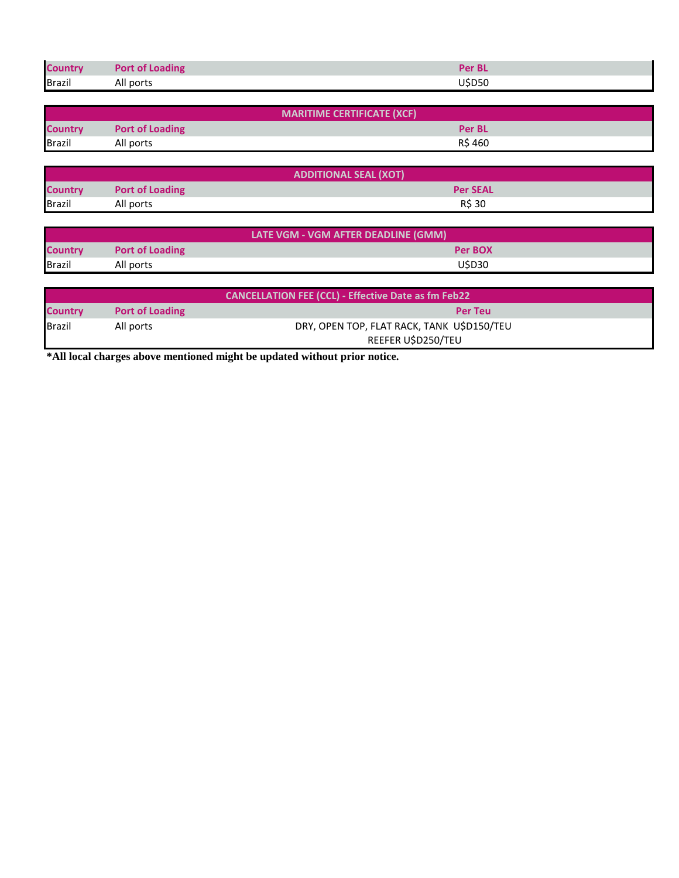| <b>Country</b> | <b>Port of Loading</b> | $Dov$ Ri |
|----------------|------------------------|----------|
| <b>Brazil</b>  | All ports              | \$D50    |

| <b>MARITIME CERTIFICATE (XCF)</b> |                        |               |  |  |  |
|-----------------------------------|------------------------|---------------|--|--|--|
| <b>Country</b>                    | <b>Port of Loading</b> | <b>Per BL</b> |  |  |  |
| <b>Brazil</b>                     | All ports              | <b>R\$460</b> |  |  |  |

|                |                        | <b>ADDITIONAL SEAL (XOT)</b> |
|----------------|------------------------|------------------------------|
| <b>Country</b> | <b>Port of Loading</b> | <b>Per SEAL</b>              |
| <b>Brazil</b>  | All ports              | R\$ 30                       |

| LATE VGM - VGM AFTER DEADLINE (GMM) |                        |         |  |  |  |
|-------------------------------------|------------------------|---------|--|--|--|
| <b>Country</b>                      | <b>Port of Loading</b> | Per BOX |  |  |  |
| <b>Brazil</b>                       | All ports              | U\$D30  |  |  |  |

| <b>CANCELLATION FEE (CCL) - Effective Date as fm Feb22</b> |                        |                                           |  |  |  |  |
|------------------------------------------------------------|------------------------|-------------------------------------------|--|--|--|--|
| <b>Country</b>                                             | <b>Port of Loading</b> | <b>Per Teu</b>                            |  |  |  |  |
| <b>Brazil</b>                                              | All ports              | DRY, OPEN TOP, FLAT RACK, TANK USD150/TEU |  |  |  |  |
|                                                            |                        | REEFER U\$D250/TEU                        |  |  |  |  |

**\*All local charges above mentioned might be updated without prior notice.**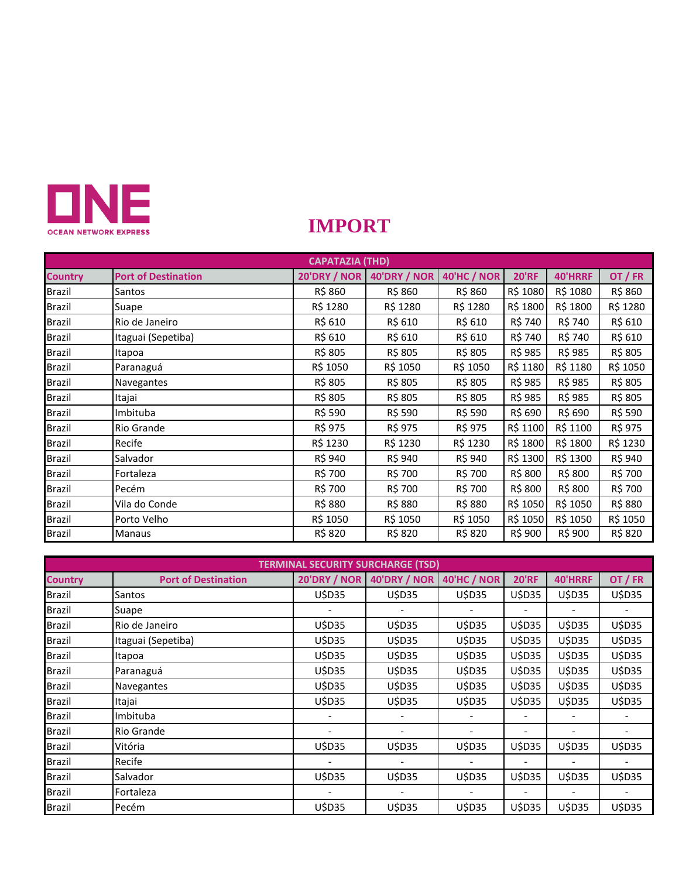

## **IMPORT**

|                | <b>CAPATAZIA (THD)</b>     |              |              |                    |              |          |          |  |
|----------------|----------------------------|--------------|--------------|--------------------|--------------|----------|----------|--|
| <b>Country</b> | <b>Port of Destination</b> | 20'DRY / NOR | 40'DRY / NOR | <b>40'HC / NOR</b> | <b>20'RF</b> | 40'HRRF  | OT / FR  |  |
| <b>Brazil</b>  | Santos                     | R\$ 860      | R\$ 860      | R\$ 860            | R\$ 1080     | R\$ 1080 | R\$ 860  |  |
| <b>Brazil</b>  | Suape                      | R\$ 1280     | R\$ 1280     | R\$ 1280           | R\$ 1800     | R\$ 1800 | R\$ 1280 |  |
| <b>Brazil</b>  | Rio de Janeiro             | R\$ 610      | R\$ 610      | R\$ 610            | R\$ 740      | R\$ 740  | R\$ 610  |  |
| <b>Brazil</b>  | Itaguai (Sepetiba)         | R\$ 610      | R\$ 610      | R\$ 610            | R\$ 740      | R\$ 740  | R\$ 610  |  |
| <b>Brazil</b>  | Itapoa                     | R\$ 805      | R\$ 805      | R\$ 805            | R\$ 985      | R\$ 985  | R\$ 805  |  |
| <b>Brazil</b>  | Paranaguá                  | R\$ 1050     | R\$ 1050     | R\$ 1050           | R\$ 1180     | R\$ 1180 | R\$ 1050 |  |
| <b>Brazil</b>  | Navegantes                 | R\$ 805      | R\$ 805      | R\$ 805            | R\$ 985      | R\$ 985  | R\$ 805  |  |
| <b>Brazil</b>  | Itajai                     | R\$ 805      | R\$ 805      | R\$ 805            | R\$ 985      | R\$ 985  | R\$ 805  |  |
| <b>Brazil</b>  | Imbituba                   | R\$ 590      | R\$ 590      | R\$ 590            | R\$ 690      | R\$ 690  | R\$ 590  |  |
| <b>Brazil</b>  | Rio Grande                 | R\$ 975      | R\$ 975      | R\$ 975            | R\$ 1100     | R\$ 1100 | R\$ 975  |  |
| <b>Brazil</b>  | Recife                     | R\$ 1230     | R\$ 1230     | R\$ 1230           | R\$ 1800     | R\$ 1800 | R\$ 1230 |  |
| <b>Brazil</b>  | Salvador                   | R\$ 940      | R\$ 940      | R\$ 940            | R\$ 1300     | R\$ 1300 | R\$ 940  |  |
| <b>Brazil</b>  | Fortaleza                  | R\$ 700      | R\$ 700      | R\$ 700            | R\$ 800      | R\$ 800  | R\$ 700  |  |
| <b>Brazil</b>  | Pecém                      | R\$ 700      | R\$ 700      | R\$ 700            | R\$ 800      | R\$ 800  | R\$ 700  |  |
| <b>Brazil</b>  | Vila do Conde              | R\$ 880      | R\$ 880      | R\$ 880            | R\$ 1050     | R\$ 1050 | R\$ 880  |  |
| <b>Brazil</b>  | Porto Velho                | R\$ 1050     | R\$ 1050     | R\$ 1050           | R\$ 1050     | R\$ 1050 | R\$ 1050 |  |
| <b>Brazil</b>  | Manaus                     | R\$ 820      | R\$ 820      | R\$ 820            | R\$ 900      | R\$ 900  | R\$ 820  |  |

| <b>TERMINAL SECURITY SURCHARGE (TSD)</b> |                            |        |                           |                          |                          |                              |         |
|------------------------------------------|----------------------------|--------|---------------------------|--------------------------|--------------------------|------------------------------|---------|
| <b>Country</b>                           | <b>Port of Destination</b> |        | 20'DRY / NOR 40'DRY / NOR | <b>40'HC / NOR</b>       | <b>20'RF</b>             | 40'HRRF                      | OT / FR |
| <b>Brazil</b>                            | Santos                     | U\$D35 | U\$D35                    | U\$D35                   | U\$D35                   | U\$D35                       | U\$D35  |
| <b>Brazil</b>                            | Suape                      |        |                           |                          |                          |                              |         |
| <b>Brazil</b>                            | Rio de Janeiro             | U\$D35 | U\$D35                    | U\$D35                   | U\$D35                   | U\$D35                       | U\$D35  |
| <b>Brazil</b>                            | Itaguai (Sepetiba)         | U\$D35 | U\$D35                    | U\$D35                   | U\$D35                   | U\$D35                       | U\$D35  |
| <b>Brazil</b>                            | Itapoa                     | U\$D35 | U\$D35                    | U\$D35                   | U\$D35                   | U\$D35                       | U\$D35  |
| <b>Brazil</b>                            | Paranaguá                  | U\$D35 | U\$D35                    | U\$D35                   | U\$D35                   | U\$D35                       | U\$D35  |
| <b>Brazil</b>                            | Navegantes                 | U\$D35 | U\$D35                    | U\$D35                   | U\$D35                   | U\$D35                       | U\$D35  |
| <b>Brazil</b>                            | Itajai                     | U\$D35 | U\$D35                    | U\$D35                   | U\$D35                   | U\$D35                       | U\$D35  |
| <b>Brazil</b>                            | Imbituba                   |        |                           | $\overline{\phantom{a}}$ | $\overline{\phantom{a}}$ | $\overline{\phantom{a}}$     |         |
| <b>Brazil</b>                            | Rio Grande                 |        |                           | $\overline{\phantom{a}}$ | $\overline{\phantom{a}}$ | $\qquad \qquad \blacksquare$ |         |
| <b>Brazil</b>                            | Vitória                    | U\$D35 | U\$D35                    | U\$D35                   | U\$D35                   | U\$D35                       | U\$D35  |
| <b>Brazil</b>                            | Recife                     |        |                           |                          |                          |                              |         |
| <b>Brazil</b>                            | Salvador                   | U\$D35 | U\$D35                    | U\$D35                   | U\$D35                   | U\$D35                       | U\$D35  |
| <b>Brazil</b>                            | Fortaleza                  |        |                           | $\overline{\phantom{a}}$ |                          |                              |         |
| <b>Brazil</b>                            | Pecém                      | U\$D35 | U\$D35                    | U\$D35                   | U\$D35                   | U\$D35                       | U\$D35  |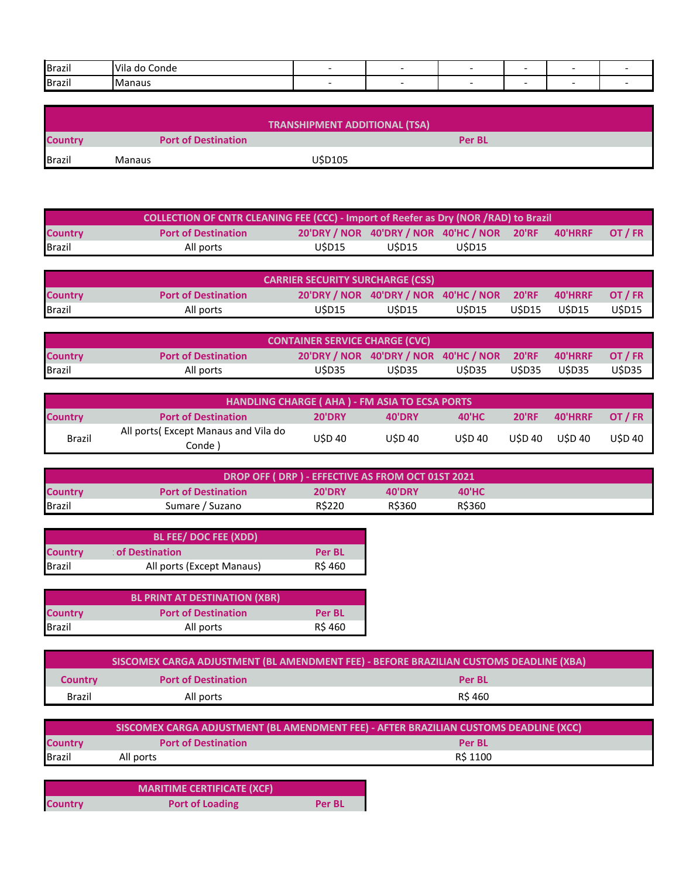| <b>Brazil</b> | Conde<br>Vila<br>do. |  |  |  |
|---------------|----------------------|--|--|--|
| <b>Brazil</b> | <b>Manaus</b>        |  |  |  |

|                |        |                            | <b>TRANSHIPMENT ADDITIONAL (TSA)</b> |               |
|----------------|--------|----------------------------|--------------------------------------|---------------|
| <b>Country</b> |        | <b>Port of Destination</b> |                                      | <b>Per BL</b> |
| <b>Brazil</b>  | Manaus |                            | U\$D105                              |               |

| <b>COLLECTION OF CNTR CLEANING FEE (CCC) - Import of Reefer as Dry (NOR /RAD) to Brazil</b> |                            |       |                                             |       |  |         |         |
|---------------------------------------------------------------------------------------------|----------------------------|-------|---------------------------------------------|-------|--|---------|---------|
| <b>Country</b>                                                                              | <b>Port of Destination</b> |       | 20'DRY / NOR 40'DRY / NOR 40'HC / NOR 20'RF |       |  | 40'HRRF | OT / FR |
| <b>Brazil</b>                                                                               | All ports                  | USD15 | USD15                                       | USD15 |  |         |         |

| <b>CARRIER SECURITY SURCHARGE (CSS)</b> |                            |       |                                             |       |       |         |         |
|-----------------------------------------|----------------------------|-------|---------------------------------------------|-------|-------|---------|---------|
| <b>Country</b>                          | <b>Port of Destination</b> |       | 20'DRY / NOR 40'DRY / NOR 40'HC / NOR 20'RF |       |       | 40'HRRF | OT / FR |
| <b>Brazil</b>                           | All ports                  | USD15 | USD15                                       | USD15 | USD15 | USD15   | USD15   |

| <b>CONTAINER SERVICE CHARGE (CVC)</b> |                            |       |                                             |       |       |         |         |
|---------------------------------------|----------------------------|-------|---------------------------------------------|-------|-------|---------|---------|
| <b>Country</b>                        | <b>Port of Destination</b> |       | 20'DRY / NOR 40'DRY / NOR 40'HC / NOR 20'RF |       |       | 40'HRRF | OT / FR |
| <b>Brazil</b>                         | All ports                  | USD35 | USD35                                       | UŚD35 | USD35 | USD35   | USD35   |

| <b>HANDLING CHARGE (AHA) - FM ASIA TO ECSA PORTS</b> |                                                 |        |               |               |              |               |         |
|------------------------------------------------------|-------------------------------------------------|--------|---------------|---------------|--------------|---------------|---------|
| <b>Country</b>                                       | <b>Port of Destination</b>                      | 20'DRY | <b>40'DRY</b> | 40'HC         | <b>20'RF</b> | 40'HRRF       | OT / FR |
| <b>Brazil</b>                                        | All ports (Except Manaus and Vila do<br>Conde ) | UŚD 40 | <b>USD 40</b> | <b>USD 40</b> | USD 40       | <b>USD 40</b> | USD 40  |

| DROP OFF (DRP) - EFFECTIVE AS FROM OCT 01ST 2021 |                            |               |               |              |
|--------------------------------------------------|----------------------------|---------------|---------------|--------------|
| <b>Country</b>                                   | <b>Port of Destination</b> | <b>20'DRY</b> | <b>40'DRY</b> | <b>40'HC</b> |
| <b>Brazil</b>                                    | Sumare / Suzano            | R\$220        | R\$360        | R\$360       |

|                | <b>BL FEE/ DOC FEE (XDD)</b> |               |
|----------------|------------------------------|---------------|
| <b>Country</b> | of Destination               | <b>Per BL</b> |
| <b>Brazil</b>  | All ports (Except Manaus)    | R\$ 460       |

|                | <b>BL PRINT AT DESTINATION (XBR)</b> |               |
|----------------|--------------------------------------|---------------|
| <b>Country</b> | <b>Port of Destination</b>           | <b>Per BL</b> |
| <b>Brazil</b>  | All ports                            | R\$ 460       |

|                | SISCOMEX CARGA ADJUSTMENT (BL AMENDMENT FEE) - BEFORE BRAZILIAN CUSTOMS DEADLINE (XBA) |               |  |  |  |
|----------------|----------------------------------------------------------------------------------------|---------------|--|--|--|
| <b>Country</b> | <b>Port of Destination</b>                                                             | <b>Per BL</b> |  |  |  |
| Brazil         | All ports                                                                              | <b>RS 460</b> |  |  |  |

|                | SISCOMEX CARGA ADJUSTMENT (BL AMENDMENT FEE) - AFTER BRAZILIAN CUSTOMS DEADLINE (XCC) |               |  |  |  |
|----------------|---------------------------------------------------------------------------------------|---------------|--|--|--|
| <b>Country</b> | <b>Port of Destination</b>                                                            | <b>Per BL</b> |  |  |  |
| <b>Brazil</b>  | All ports                                                                             | R\$ 1100      |  |  |  |

|                | <b>MARITIME CERTIFICATE (XCF)</b> |               |
|----------------|-----------------------------------|---------------|
| <b>Country</b> | <b>Port of Loading</b>            | <b>Per BL</b> |